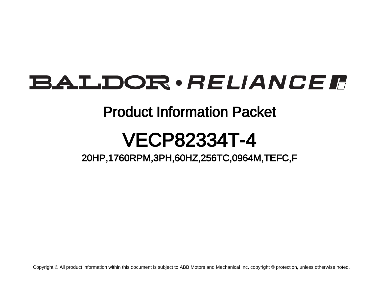# BALDOR · RELIANCE F

# Product Information Packet

# VECP82334T-4

20HP,1760RPM,3PH,60HZ,256TC,0964M,TEFC,F

Copyright © All product information within this document is subject to ABB Motors and Mechanical Inc. copyright © protection, unless otherwise noted.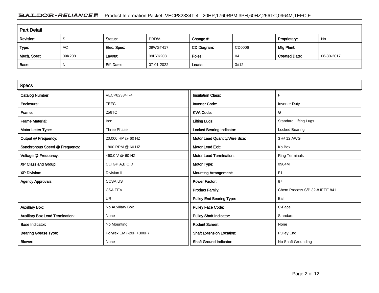## BALDOR · RELIANCE F Product Information Packet: VECP82334T-4 - 20HP,1760RPM,3PH,60HZ,256TC,0964M,TEFC,F

| <b>Part Detail</b> |        |             |            |             |        |                      |            |
|--------------------|--------|-------------|------------|-------------|--------|----------------------|------------|
| Revision:          | ১      | Status:     | PRD/A      | Change #:   |        | Proprietary:         | No         |
| Type:              | AC     | Elec. Spec: | 09WGT417   | CD Diagram: | CD0006 | Mfg Plant:           |            |
| Mech. Spec:        | 09K208 | Layout:     | 09LYK208   | Poles:      | 04     | <b>Created Date:</b> | 06-30-2017 |
| Base:              | N      | Eff. Date:  | 07-01-2022 | Leads:      | 3#12   |                      |            |

| <b>Specs</b>                           |                         |                                  |                                |
|----------------------------------------|-------------------------|----------------------------------|--------------------------------|
| <b>Catalog Number:</b>                 | VECP82334T-4            | <b>Insulation Class:</b>         | F                              |
| Enclosure:                             | <b>TEFC</b>             | <b>Inverter Code:</b>            | <b>Inverter Duty</b>           |
| Frame:                                 | 256TC                   | <b>KVA Code:</b>                 | G                              |
| <b>Frame Material:</b>                 | Iron                    | <b>Lifting Lugs:</b>             | <b>Standard Lifting Lugs</b>   |
| Motor Letter Type:                     | Three Phase             | <b>Locked Bearing Indicator:</b> | Locked Bearing                 |
| Output @ Frequency:                    | 20,000 HP @ 60 HZ       | Motor Lead Quantity/Wire Size:   | 3 @ 12 AWG                     |
| Synchronous Speed @ Frequency:         | 1800 RPM @ 60 HZ        | Motor Lead Exit:                 | Ko Box                         |
| Voltage @ Frequency:                   | 460.0 V @ 60 HZ         | <b>Motor Lead Termination:</b>   | <b>Ring Terminals</b>          |
| XP Class and Group:                    | CLI GP A, B, C, D       | Motor Type:                      | 0964M                          |
| <b>XP Division:</b>                    | Division II             | <b>Mounting Arrangement:</b>     | F <sub>1</sub>                 |
| <b>Agency Approvals:</b>               | <b>CCSA US</b>          | <b>Power Factor:</b>             | 87                             |
|                                        | <b>CSA EEV</b>          | <b>Product Family:</b>           | Chem Process S/P 32-8 IEEE 841 |
|                                        | <b>UR</b>               | <b>Pulley End Bearing Type:</b>  | Ball                           |
| <b>Auxillary Box:</b>                  | No Auxillary Box        | <b>Pulley Face Code:</b>         | C-Face                         |
| <b>Auxillary Box Lead Termination:</b> | None                    | <b>Pulley Shaft Indicator:</b>   | Standard                       |
| <b>Base Indicator:</b>                 | No Mounting             | <b>Rodent Screen:</b>            | None                           |
| <b>Bearing Grease Type:</b>            | Polyrex EM (-20F +300F) | <b>Shaft Extension Location:</b> | <b>Pulley End</b>              |
| Blower:                                | None                    | <b>Shaft Ground Indicator:</b>   | No Shaft Grounding             |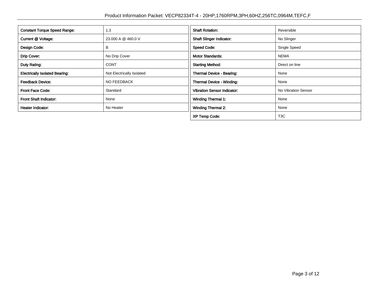| <b>Constant Torque Speed Range:</b>   | 1.3                       | <b>Shaft Rotation:</b>             | Reversible          |
|---------------------------------------|---------------------------|------------------------------------|---------------------|
| Current @ Voltage:                    | 23.000 A @ 460.0 V        | <b>Shaft Slinger Indicator:</b>    | No Slinger          |
| Design Code:                          | В                         | <b>Speed Code:</b>                 | Single Speed        |
| Drip Cover:                           | No Drip Cover             | <b>Motor Standards:</b>            | <b>NEMA</b>         |
| Duty Rating:                          | <b>CONT</b>               | <b>Starting Method:</b>            | Direct on line      |
| <b>Electrically Isolated Bearing:</b> | Not Electrically Isolated | Thermal Device - Bearing:          | None                |
| <b>Feedback Device:</b>               | NO FEEDBACK               | Thermal Device - Winding:          | None                |
| <b>Front Face Code:</b>               | Standard                  | <b>Vibration Sensor Indicator:</b> | No Vibration Sensor |
| <b>Front Shaft Indicator:</b>         | None                      | <b>Winding Thermal 1:</b>          | None                |
| <b>Heater Indicator:</b>              | No Heater                 | <b>Winding Thermal 2:</b>          | None                |
|                                       |                           | <b>XP Temp Code:</b>               | T <sub>3</sub> C    |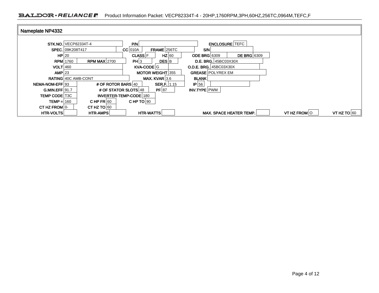| Nameplate NP4332       |                                |                                 |                                           |              |               |
|------------------------|--------------------------------|---------------------------------|-------------------------------------------|--------------|---------------|
|                        | <b>STK, NO,   VECP82334T-4</b> | P/N                             | <b>ENCLOSURE TEFC</b>                     |              |               |
|                        |                                |                                 |                                           |              |               |
|                        | SPEC. 09K208T417               | FRAME 256TC<br>$CC$ 010A        | S/N                                       |              |               |
| HP 20                  |                                | $HZ$ 60<br><b>CLASS F</b>       | <b>DE BRG</b> 6309<br><b>ODE BRG 6309</b> |              |               |
| <b>RPM</b> 1760        | <b>RPM MAX 2700</b>            | PH 3<br><b>DES</b> B            | <b>D.E. BRG.</b> 45BC03X30X               |              |               |
| $VOLT$ 460             |                                | KVA-CODE G                      | <b>O.D.E. BRG. 45BC03X30X</b>             |              |               |
| $AMP$  23              |                                | <b>MOTOR WEIGHT 355</b>         | <b>GREASE POLYREX EM</b>                  |              |               |
|                        | <b>RATING 40C AMB-CONT</b>     | MAX. KVAR $3.6$                 | <b>BLANK</b>                              |              |               |
| <b>NEMA-NOM-EFF193</b> | # OF ROTOR BARS 40             | <b>SER.F.</b>   1.15            | $IP$ 56                                   |              |               |
| <b>G.MIN.EFF 91.7</b>  |                                | $PF$ 87<br># OF STATOR SLOTS 48 | INV.TYPE PWM                              |              |               |
| <b>TEMP CODE T3C</b>   |                                | INVERTER-TEMP-CODE 180          |                                           |              |               |
| $TEMP = 160$           | CHP FR $60$                    | CHP TO $90$                     |                                           |              |               |
| CT HZ FROM 0-          | CT HZ TO $60$                  |                                 |                                           |              |               |
| HTR-VOLTS              | HTR-AMPS                       | <b>HTR-WATTS</b>                | MAX. SPACE HEATER TEMP.                   | VT HZ FROM O | VT HZ TO $60$ |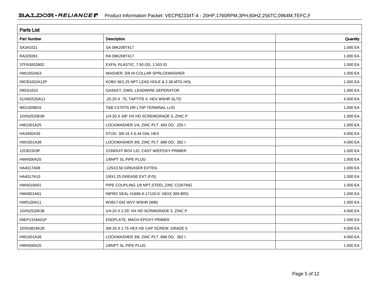| <b>Parts List</b>  |                                            |          |  |  |  |
|--------------------|--------------------------------------------|----------|--|--|--|
| <b>Part Number</b> | <b>Description</b>                         | Quantity |  |  |  |
| SA341021           | SA 09K208T417                              | 1.000 EA |  |  |  |
| RA329391           | RA 09K208T417                              | 1.000 EA |  |  |  |
| 37FN3002B02        | EXFN, PLASTIC, 7.50 OD, 1.503 ID           | 1.000 EA |  |  |  |
| HW1002A63          | WASHER, 5/8 HI-COLLAR SPRLCKWASHER         | 1.000 EA |  |  |  |
| 09CB1002A12P       | KOBX W/1.25 NPT LEAD HOLE & 2.38 MTG HOL   | 1.000 EA |  |  |  |
| 09GS1010           | GASKET, DWG, LEADWIRE SEPERATOR            | 1.000 EA |  |  |  |
| 51XW2520A12        | .25-20 X .75, TAPTITE II, HEX WSHR SLTD    | 4.000 EA |  |  |  |
| WD1000B16          | T&B CX70TN OR L70P TERMINAL LUG            | 1.000 EA |  |  |  |
| 10XN2520K06        | 1/4-20 X 3/8" HX HD SCREWGRADE 5, ZINC P   | 1.000 EA |  |  |  |
| HW1001A25          | LOCKWASHER 1/4, ZINC PLT .493 OD, .255 I   | 1.000 EA |  |  |  |
| HA3400A39          | STUD-3/8-16 X 6.44 OAL HEX                 | 4.000 EA |  |  |  |
| HW1001A38          | LOCKWASHER 3/8, ZINC PLT .688 OD, .382 I   | 4.000 EA |  |  |  |
| 12CB1503P          | CONDUIT BOX LID, CAST W/EPOXY PRIMER       | 1.000 EA |  |  |  |
| HW4500A20          | 1/8NPT SL PIPE PLUG                        | 1.000 EA |  |  |  |
| HA4017A08          | .125X3.50 GREASER EXTEN.                   | 1.000 EA |  |  |  |
| HA4017A10          | 1/8X1.25 GREASE EXT (F/S)                  | 1.000 EA |  |  |  |
| HW4019A01          | PIPE COUPLING 1/8 NPT, STEEL, ZINC COATING | 1.000 EA |  |  |  |
| HW4601A61          | INPRO SEAL #1698-A-17120-0, VBXX 309 BRG   | 1.000 EA |  |  |  |
| HW5100A11          | W3917-042 WVY WSHR (WB)                    | 1.000 EA |  |  |  |
| 10XN2520K36        | 1/4-20 X 2.25" HX HD SCRWGRADE 5, ZINC P   | 4.000 EA |  |  |  |
| 09EP1318A01P       | ENDPLATE, MACH EPOXY PRIMER                | 1.000 EA |  |  |  |
| 10XN3816K28        | 3/8-16 X 1.75 HEX HD CAP SCREW, GRADE 5    | 4.000 EA |  |  |  |
| HW1001A38          | LOCKWASHER 3/8, ZINC PLT .688 OD, .382 I   | 4.000 EA |  |  |  |
| HW4500A20          | 1/8NPT SL PIPE PLUG                        | 1.000 EA |  |  |  |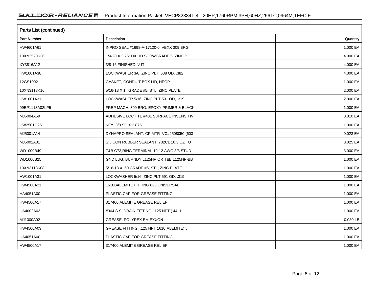| Parts List (continued) |                                           |          |  |  |  |
|------------------------|-------------------------------------------|----------|--|--|--|
| <b>Part Number</b>     | Description                               | Quantity |  |  |  |
| HW4601A61              | INPRO SEAL #1698-A-17120-0, VBXX 309 BRG  | 1.000 EA |  |  |  |
| 10XN2520K36            | 1/4-20 X 2.25" HX HD SCRWGRADE 5, ZINC P  | 4.000 EA |  |  |  |
| XY3816A12              | 3/8-16 FINISHED NUT                       | 4.000 EA |  |  |  |
| HW1001A38              | LOCKWASHER 3/8, ZINC PLT .688 OD, .382 I  | 4.000 EA |  |  |  |
| 12GS1002               | GASKET, CONDUIT BOX LID, NEOP             | 1.000 EA |  |  |  |
| 10XN3118K16            | 5/16-18 X 1' GRADE #5, STL, ZINC PLATE    | 2.000 EA |  |  |  |
| HW1001A31              | LOCKWASHER 5/16, ZINC PLT.591 OD, .319 I  | 2.000 EA |  |  |  |
| 09EP1118A02LP5         | FREP MACH, 309 BRG. EPOXY PRIMER & BLACK  | 1.000 EA |  |  |  |
| MJ5004A59              | ADHESIVE LOCTITE #401 SURFACE INSENSITIV  | 0.010 EA |  |  |  |
| HW2501G25              | KEY, 3/8 SQ X 2.875                       | 1.000 EA |  |  |  |
| MJ5001A14              | DYNAPRO SEALANT, CP MTR VC#2508050 (603   | 0.023 EA |  |  |  |
| MJ5002A01              | SILICON RUBBER SEALANT, 732CL 10.3 OZ TU  | 0.025 EA |  |  |  |
| WD1000B49              | T&B C73, RING TERMINAL 10-12 AWG 3/8 STUD | 3.000 EA |  |  |  |
| WD1000B25              | GND LUG, BURNDY L125HP OR T&B L125HP-BB   | 1.000 EA |  |  |  |
| 10XN3118K08            | 5/16-18 X .50 GRADE #5, STL, ZINC PLATE   | 1.000 EA |  |  |  |
| HW1001A31              | LOCKWASHER 5/16, ZINC PLT.591 OD, .319 I  | 1.000 EA |  |  |  |
| HW4500A21              | 1618BALEMITE FITTING 825 UNIVERSAL        | 1.000 EA |  |  |  |
| HA4051A00              | PLASTIC CAP FOR GREASE FITTING            | 1.000 EA |  |  |  |
| HW4500A17              | 317400 ALEMITE GREASE RELIEF              | 1.000 EA |  |  |  |
| HA4002A03              | #304 S.S. DRAIN FITTING, .125 NPT (.44 H  | 1.000 EA |  |  |  |
| MJ1000A02              | GREASE, POLYREX EM EXXON                  | 0.080 LB |  |  |  |
| HW4500A03              | GREASE FITTING, .125 NPT 1610(ALEMITE) 8  | 1.000 EA |  |  |  |
| HA4051A00              | PLASTIC CAP FOR GREASE FITTING            | 1.000 EA |  |  |  |
| HW4500A17              | 317400 ALEMITE GREASE RELIEF              | 1.000 EA |  |  |  |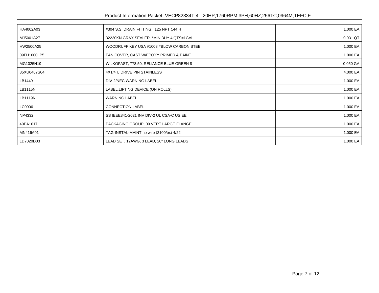| HA4002A03   | #304 S.S. DRAIN FITTING, .125 NPT (.44 H) | 1.000 EA     |
|-------------|-------------------------------------------|--------------|
| MJ5001A27   | 32220KN GRAY SEALER *MIN BUY 4 QTS=1GAL   | 0.031 QT     |
| HW2500A25   | WOODRUFF KEY USA #1008 #BLOW CARBON STEE  | 1.000 EA     |
| 09FH1000LP5 | FAN COVER, CAST W/EPOXY PRIMER & PAINT    | 1.000 EA     |
| MG1025N19   | WILKOFAST, 778.50, RELIANCE BLUE-GREEN 8  | 0.050 GA     |
| 85XU0407S04 | 4X1/4 U DRIVE PIN STAINLESS               | 4.000 EA     |
| LB1449      | DIV-2/NEC WARNING LABEL                   | 1.000 EA     |
| LB1115N     | LABEL, LIFTING DEVICE (ON ROLLS)          | 1.000 EA     |
| LB1119N     | <b>WARNING LABEL</b>                      | 1.000 EA     |
| LC0006      | <b>CONNECTION LABEL</b>                   | 1.000 EA     |
| NP4332      | SS IEEE841-2021 INV DIV-2 UL CSA-C US EE  | 1.000 EA     |
| 40PA1017    | PACKAGING GROUP, 09 VERT LARGE FLANGE     | 1.000 EA     |
| MN416A01    | TAG-INSTAL-MAINT no wire (2100/bx) 4/22   | 1.000 EA     |
| LD7020D03   | LEAD SET, 12AWG, 3 LEAD, 20" LONG LEADS   | 1.000 EA $ $ |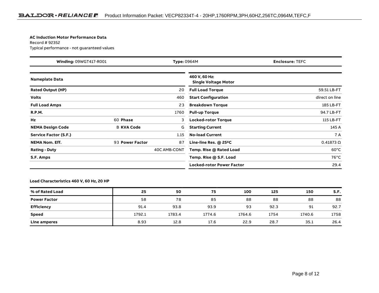#### **AC Induction Motor Performance Data**

### Record # 92352Typical performance - not guaranteed values

| <b>Winding: 09WGT417-R001</b><br><b>Type: 0964M</b> |                   |              | <b>Enclosure: TEFC</b>                       |                  |  |
|-----------------------------------------------------|-------------------|--------------|----------------------------------------------|------------------|--|
| <b>Nameplate Data</b>                               |                   |              | 460 V, 60 Hz:<br><b>Single Voltage Motor</b> |                  |  |
| <b>Rated Output (HP)</b>                            |                   | 20           | <b>Full Load Torque</b>                      | 59.51 LB-FT      |  |
| <b>Volts</b>                                        |                   | 460          | <b>Start Configuration</b>                   | direct on line   |  |
| <b>Full Load Amps</b>                               |                   | 23           | <b>Breakdown Torque</b>                      | 185 LB-FT        |  |
| <b>R.P.M.</b>                                       |                   | 1760         | <b>Pull-up Torque</b>                        | 94.7 LB-FT       |  |
| Hz                                                  | 60 Phase          | 3            | <b>Locked-rotor Torque</b>                   | 115 LB-FT        |  |
| <b>NEMA Design Code</b>                             | <b>B KVA Code</b> | G            | <b>Starting Current</b>                      | 145 A            |  |
| <b>Service Factor (S.F.)</b>                        |                   | 1.15         | <b>No-load Current</b>                       | 7 A              |  |
| <b>NEMA Nom. Eff.</b>                               | 93 Power Factor   | 87           | Line-line Res. $@$ 25 <sup>o</sup> C         | $0.41873 \Omega$ |  |
| <b>Rating - Duty</b>                                |                   | 40C AMB-CONT | Temp. Rise @ Rated Load                      | $60^{\circ}$ C   |  |
| S.F. Amps                                           |                   |              | Temp. Rise @ S.F. Load                       | $76^{\circ}$ C   |  |
|                                                     |                   |              | <b>Locked-rotor Power Factor</b>             | 29.4             |  |

### **Load Characteristics 460 V, 60 Hz, 20 HP**

| % of Rated Load     | 25     | 50     | 75     | 100    | 125  | 150    | S.F. |
|---------------------|--------|--------|--------|--------|------|--------|------|
| <b>Power Factor</b> | 58     | 78     | 85     | 88     | 88   | 88     | 88   |
| Efficiency          | 91.4   | 93.8   | 93.9   | 93     | 92.3 | 91     | 92.7 |
| <b>Speed</b>        | 1792.1 | 1783.4 | 1774.6 | 1764.6 | 1754 | 1740.6 | 1758 |
| Line amperes        | 8.93   | 12.8   | 17.6   | 22.9   | 28.7 | 35.1   | 26.4 |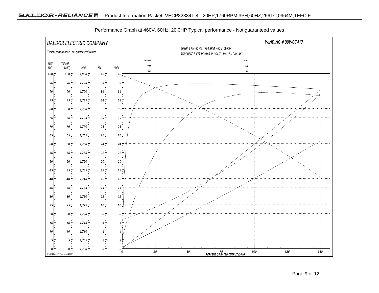

Performance Graph at 460V, 60Hz, 20.0HP Typical performance - Not guaranteed values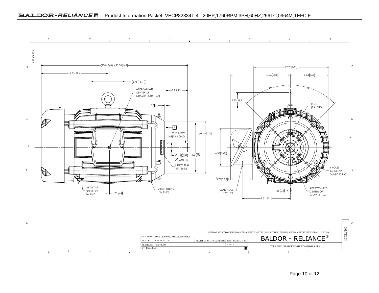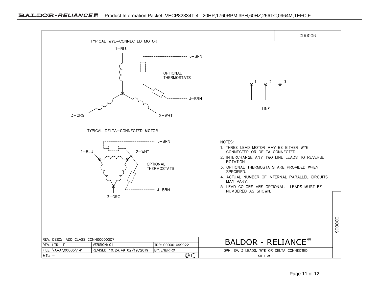